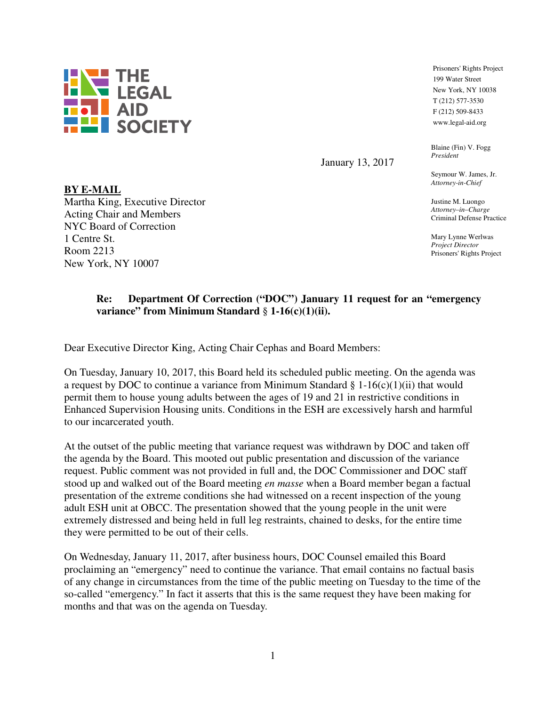

January 13, 2017

Seymour W. James, Jr. *Attorney-in-Chief* 

Blaine (Fin) V. Fogg

Prisoners' Rights Project 199 Water Street New York, NY 10038 T (212) 577-3530 F (212) 509-8433 www.legal-aid.org

*President*

Justine M. Luongo *Attorney–in–Charge* Criminal Defense Practice

Mary Lynne Werlwas *Project Director* Prisoners' Rights Project

## **Re: Department Of Correction ("DOC") January 11 request for an "emergency variance" from Minimum Standard** § **1-16(c)(1)(ii).**

Dear Executive Director King, Acting Chair Cephas and Board Members:

On Tuesday, January 10, 2017, this Board held its scheduled public meeting. On the agenda was a request by DOC to continue a variance from Minimum Standard  $\S 1\n-16(c)(1)(ii)$  that would permit them to house young adults between the ages of 19 and 21 in restrictive conditions in Enhanced Supervision Housing units. Conditions in the ESH are excessively harsh and harmful to our incarcerated youth.

At the outset of the public meeting that variance request was withdrawn by DOC and taken off the agenda by the Board. This mooted out public presentation and discussion of the variance request. Public comment was not provided in full and, the DOC Commissioner and DOC staff stood up and walked out of the Board meeting *en masse* when a Board member began a factual presentation of the extreme conditions she had witnessed on a recent inspection of the young adult ESH unit at OBCC. The presentation showed that the young people in the unit were extremely distressed and being held in full leg restraints, chained to desks, for the entire time they were permitted to be out of their cells.

On Wednesday, January 11, 2017, after business hours, DOC Counsel emailed this Board proclaiming an "emergency" need to continue the variance. That email contains no factual basis of any change in circumstances from the time of the public meeting on Tuesday to the time of the so-called "emergency." In fact it asserts that this is the same request they have been making for months and that was on the agenda on Tuesday.

## **BY E-MAIL**

Martha King, Executive Director Acting Chair and Members NYC Board of Correction 1 Centre St. Room 2213 New York, NY 10007